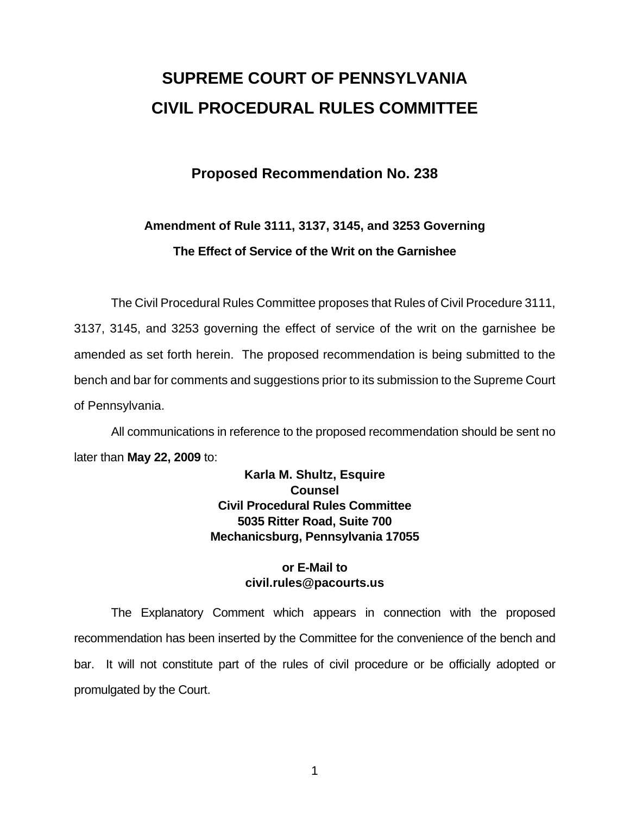# **SUPREME COURT OF PENNSYLVANIA CIVIL PROCEDURAL RULES COMMITTEE**

# **Proposed Recommendation No. 238**

# **Amendment of Rule 3111, 3137, 3145, and 3253 Governing The Effect of Service of the Writ on the Garnishee**

 The Civil Procedural Rules Committee proposes that Rules of Civil Procedure 3111, 3137, 3145, and 3253 governing the effect of service of the writ on the garnishee be amended as set forth herein. The proposed recommendation is being submitted to the bench and bar for comments and suggestions prior to its submission to the Supreme Court of Pennsylvania.

 All communications in reference to the proposed recommendation should be sent no later than **May 22, 2009** to:

# **Karla M. Shultz, Esquire Counsel Civil Procedural Rules Committee 5035 Ritter Road, Suite 700 Mechanicsburg, Pennsylvania 17055**

## **or E-Mail to civil.rules@pacourts.us**

 The Explanatory Comment which appears in connection with the proposed recommendation has been inserted by the Committee for the convenience of the bench and bar. It will not constitute part of the rules of civil procedure or be officially adopted or promulgated by the Court.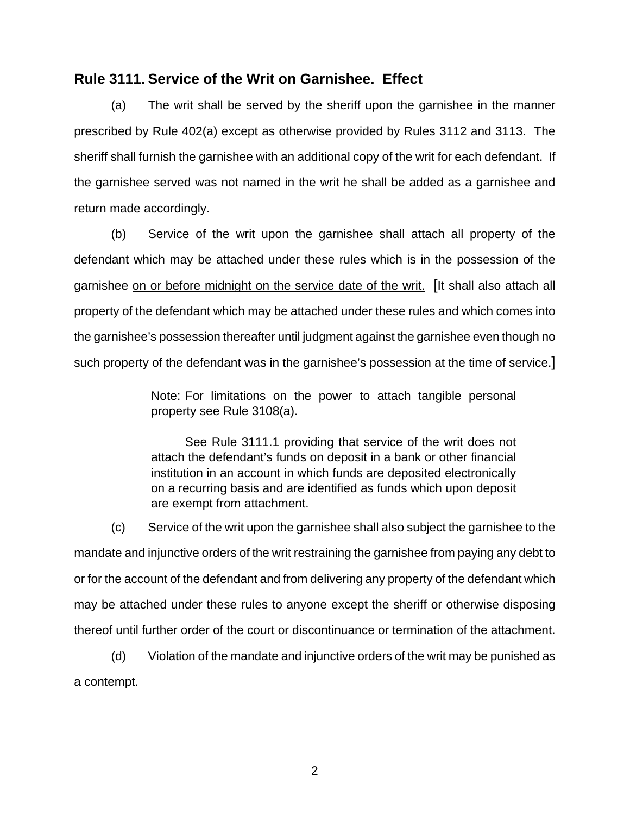## **Rule 3111. Service of the Writ on Garnishee. Effect**

 (a) The writ shall be served by the sheriff upon the garnishee in the manner prescribed by Rule 402(a) except as otherwise provided by Rules 3112 and 3113. The sheriff shall furnish the garnishee with an additional copy of the writ for each defendant. If the garnishee served was not named in the writ he shall be added as a garnishee and return made accordingly.

 (b) Service of the writ upon the garnishee shall attach all property of the defendant which may be attached under these rules which is in the possession of the garnishee on or before midnight on the service date of the writ. [It shall also attach all property of the defendant which may be attached under these rules and which comes into the garnishee's possession thereafter until judgment against the garnishee even though no such property of the defendant was in the garnishee's possession at the time of service.]

> Note: For limitations on the power to attach tangible personal property see Rule 3108(a).

> See Rule 3111.1 providing that service of the writ does not attach the defendant's funds on deposit in a bank or other financial institution in an account in which funds are deposited electronically on a recurring basis and are identified as funds which upon deposit are exempt from attachment.

(c) Service of the writ upon the garnishee shall also subject the garnishee to the mandate and injunctive orders of the writ restraining the garnishee from paying any debt to or for the account of the defendant and from delivering any property of the defendant which may be attached under these rules to anyone except the sheriff or otherwise disposing thereof until further order of the court or discontinuance or termination of the attachment.

(d) Violation of the mandate and injunctive orders of the writ may be punished as a contempt.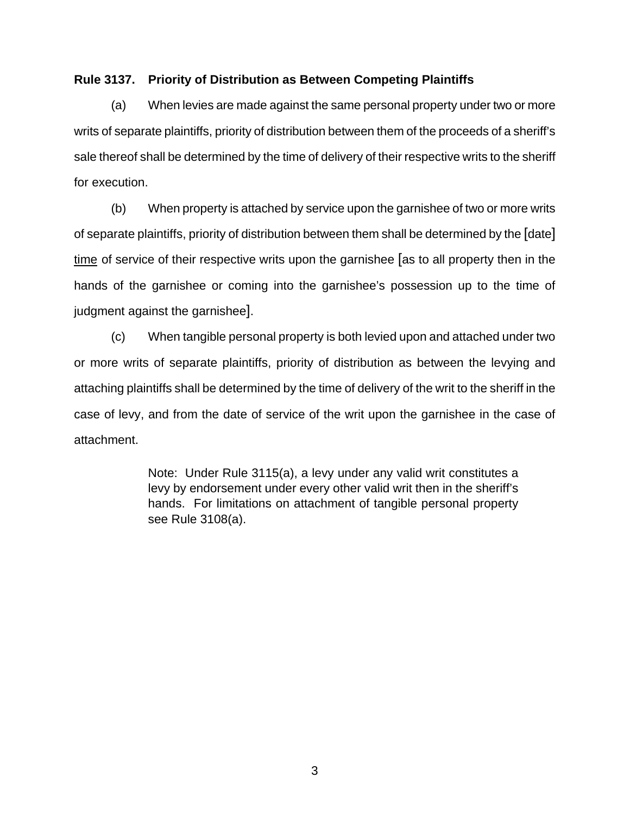#### **Rule 3137. Priority of Distribution as Between Competing Plaintiffs**

 (a) When levies are made against the same personal property under two or more writs of separate plaintiffs, priority of distribution between them of the proceeds of a sheriff's sale thereof shall be determined by the time of delivery of their respective writs to the sheriff for execution.

 (b) When property is attached by service upon the garnishee of two or more writs of separate plaintiffs, priority of distribution between them shall be determined by the [date] time of service of their respective writs upon the garnishee [as to all property then in the hands of the garnishee or coming into the garnishee's possession up to the time of judgment against the garnishee].

 (c) When tangible personal property is both levied upon and attached under two or more writs of separate plaintiffs, priority of distribution as between the levying and attaching plaintiffs shall be determined by the time of delivery of the writ to the sheriff in the case of levy, and from the date of service of the writ upon the garnishee in the case of attachment.

> Note: Under Rule 3115(a), a levy under any valid writ constitutes a levy by endorsement under every other valid writ then in the sheriff's hands. For limitations on attachment of tangible personal property see Rule 3108(a).

> > 3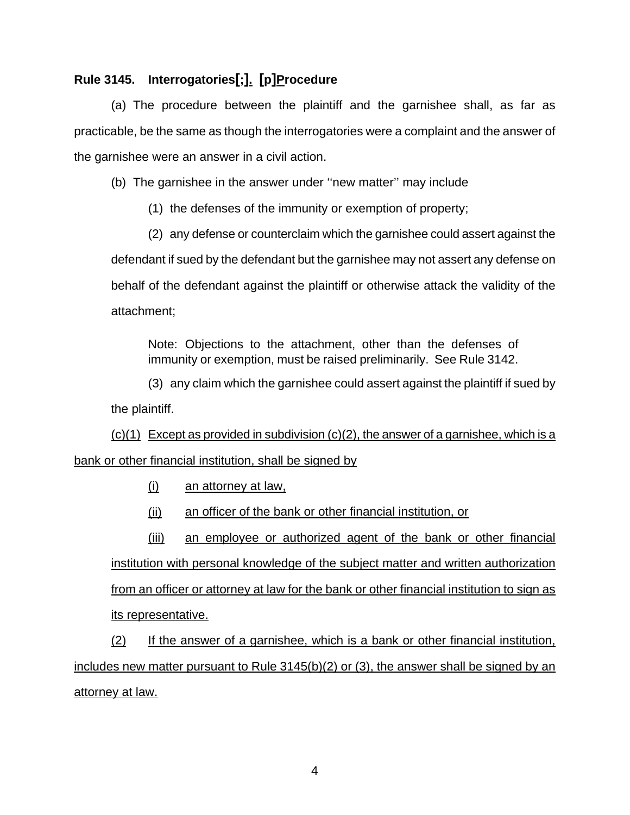# **Rule 3145. Interrogatories[;]. [p]Procedure**

 (a) The procedure between the plaintiff and the garnishee shall, as far as practicable, be the same as though the interrogatories were a complaint and the answer of the garnishee were an answer in a civil action.

(b) The garnishee in the answer under ''new matter'' may include

(1) the defenses of the immunity or exemption of property;

(2) any defense or counterclaim which the garnishee could assert against the defendant if sued by the defendant but the garnishee may not assert any defense on behalf of the defendant against the plaintiff or otherwise attack the validity of the attachment;

Note: Objections to the attachment, other than the defenses of immunity or exemption, must be raised preliminarily. See Rule 3142.

(3) any claim which the garnishee could assert against the plaintiff if sued by the plaintiff.

 $(c)(1)$  Except as provided in subdivision  $(c)(2)$ , the answer of a garnishee, which is a bank or other financial institution, shall be signed by

(i) an attorney at law,

(ii) an officer of the bank or other financial institution, or

(iii) an employee or authorized agent of the bank or other financial institution with personal knowledge of the subject matter and written authorization from an officer or attorney at law for the bank or other financial institution to sign as its representative.

 (2) If the answer of a garnishee, which is a bank or other financial institution, includes new matter pursuant to Rule 3145(b)(2) or (3), the answer shall be signed by an attorney at law.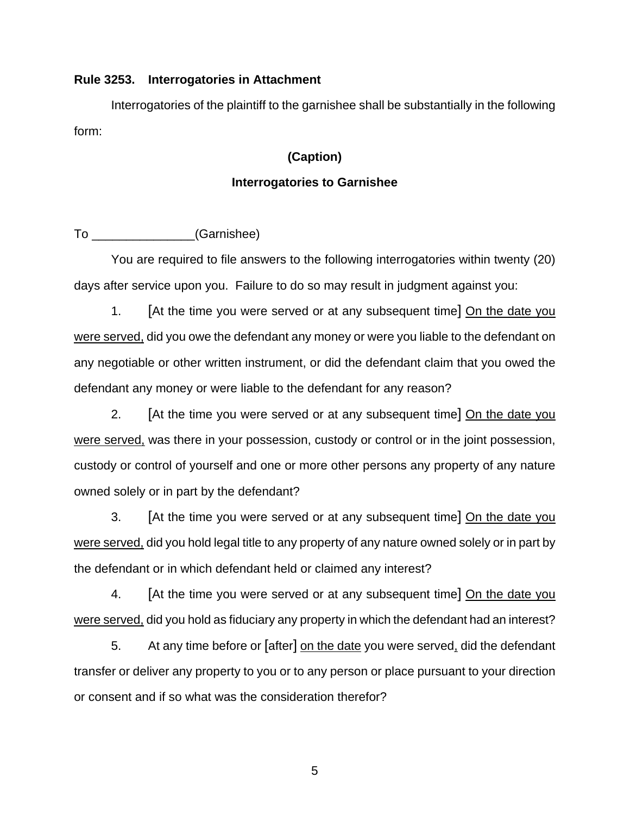#### **Rule 3253. Interrogatories in Attachment**

Interrogatories of the plaintiff to the garnishee shall be substantially in the following form:

#### **(Caption)**

#### **Interrogatories to Garnishee**

To  $(Garnishee)$ 

You are required to file answers to the following interrogatories within twenty (20) days after service upon you. Failure to do so may result in judgment against you:

 1. [At the time you were served or at any subsequent time] On the date you were served, did you owe the defendant any money or were you liable to the defendant on any negotiable or other written instrument, or did the defendant claim that you owed the defendant any money or were liable to the defendant for any reason?

2. [At the time you were served or at any subsequent time] On the date you were served, was there in your possession, custody or control or in the joint possession, custody or control of yourself and one or more other persons any property of any nature owned solely or in part by the defendant?

3. [At the time you were served or at any subsequent time] On the date you were served, did you hold legal title to any property of any nature owned solely or in part by the defendant or in which defendant held or claimed any interest?

4. [At the time you were served or at any subsequent time] On the date you were served, did you hold as fiduciary any property in which the defendant had an interest?

5. At any time before or [after] on the date you were served, did the defendant transfer or deliver any property to you or to any person or place pursuant to your direction or consent and if so what was the consideration therefor?

5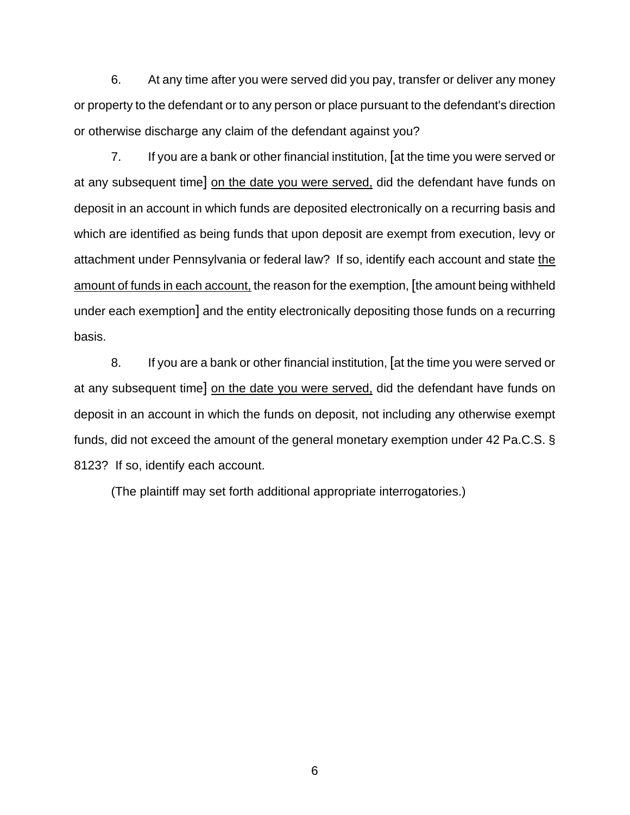6. At any time after you were served did you pay, transfer or deliver any money or property to the defendant or to any person or place pursuant to the defendant's direction or otherwise discharge any claim of the defendant against you?

 7. If you are a bank or other financial institution, [at the time you were served or at any subsequent time] on the date you were served, did the defendant have funds on deposit in an account in which funds are deposited electronically on a recurring basis and which are identified as being funds that upon deposit are exempt from execution, levy or attachment under Pennsylvania or federal law? If so, identify each account and state the amount of funds in each account, the reason for the exemption, [the amount being withheld under each exemption] and the entity electronically depositing those funds on a recurring basis.

8. If you are a bank or other financial institution, [at the time you were served or at any subsequent time] on the date you were served, did the defendant have funds on deposit in an account in which the funds on deposit, not including any otherwise exempt funds, did not exceed the amount of the general monetary exemption under 42 Pa.C.S. § 8123? If so, identify each account.

(The plaintiff may set forth additional appropriate interrogatories.)

6